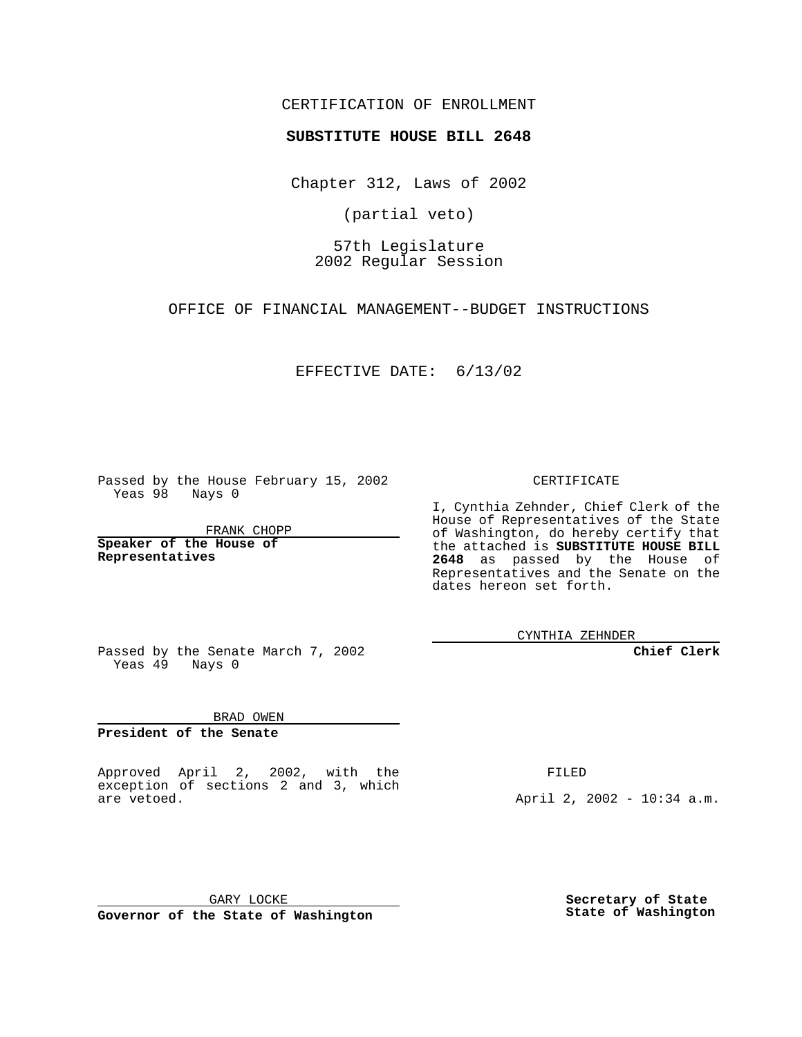CERTIFICATION OF ENROLLMENT

## **SUBSTITUTE HOUSE BILL 2648**

Chapter 312, Laws of 2002

(partial veto)

57th Legislature 2002 Regular Session

OFFICE OF FINANCIAL MANAGEMENT--BUDGET INSTRUCTIONS

## EFFECTIVE DATE: 6/13/02

Passed by the House February 15, 2002 Yeas 98 Nays 0

FRANK CHOPP

**Speaker of the House of Representatives**

CERTIFICATE

I, Cynthia Zehnder, Chief Clerk of the House of Representatives of the State of Washington, do hereby certify that the attached is **SUBSTITUTE HOUSE BILL 2648** as passed by the House of Representatives and the Senate on the dates hereon set forth.

CYNTHIA ZEHNDER

**Chief Clerk**

Passed by the Senate March 7, 2002 Yeas  $49$  Nays 0

BRAD OWEN

**President of the Senate**

Approved April 2, 2002, with the exception of sections 2 and 3, which are vetoed.

FILED

April 2, 2002 - 10:34 a.m.

GARY LOCKE **Governor of the State of Washington** **Secretary of State State of Washington**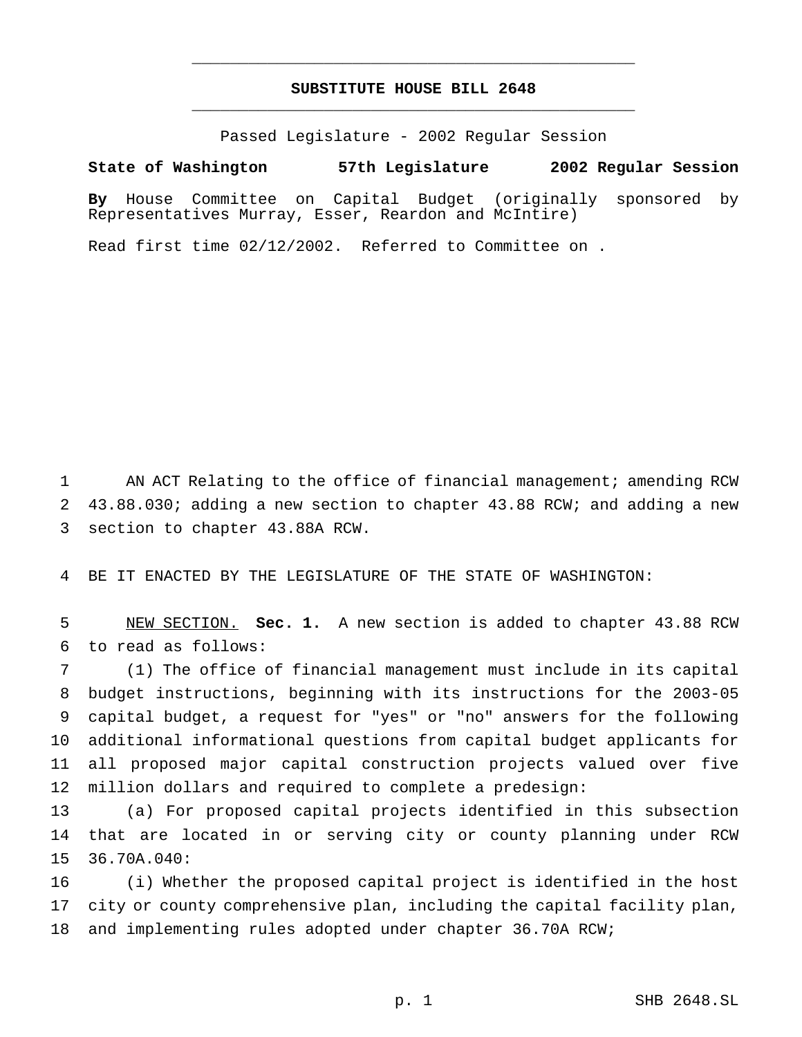## **SUBSTITUTE HOUSE BILL 2648** \_\_\_\_\_\_\_\_\_\_\_\_\_\_\_\_\_\_\_\_\_\_\_\_\_\_\_\_\_\_\_\_\_\_\_\_\_\_\_\_\_\_\_\_\_\_\_

\_\_\_\_\_\_\_\_\_\_\_\_\_\_\_\_\_\_\_\_\_\_\_\_\_\_\_\_\_\_\_\_\_\_\_\_\_\_\_\_\_\_\_\_\_\_\_

Passed Legislature - 2002 Regular Session

## **State of Washington 57th Legislature 2002 Regular Session**

**By** House Committee on Capital Budget (originally sponsored by Representatives Murray, Esser, Reardon and McIntire)

Read first time 02/12/2002. Referred to Committee on .

 AN ACT Relating to the office of financial management; amending RCW 43.88.030; adding a new section to chapter 43.88 RCW; and adding a new section to chapter 43.88A RCW.

BE IT ENACTED BY THE LEGISLATURE OF THE STATE OF WASHINGTON:

 NEW SECTION. **Sec. 1.** A new section is added to chapter 43.88 RCW to read as follows:

 (1) The office of financial management must include in its capital budget instructions, beginning with its instructions for the 2003-05 capital budget, a request for "yes" or "no" answers for the following additional informational questions from capital budget applicants for all proposed major capital construction projects valued over five million dollars and required to complete a predesign:

 (a) For proposed capital projects identified in this subsection that are located in or serving city or county planning under RCW 36.70A.040:

 (i) Whether the proposed capital project is identified in the host city or county comprehensive plan, including the capital facility plan, and implementing rules adopted under chapter 36.70A RCW;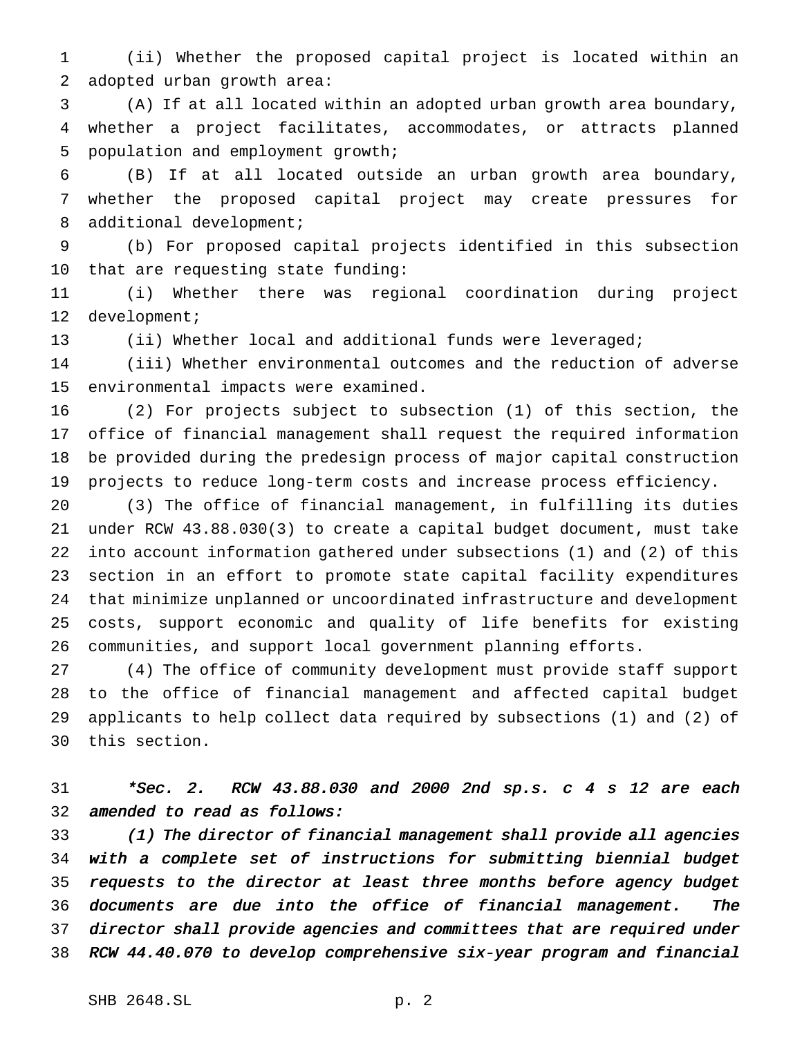(ii) Whether the proposed capital project is located within an adopted urban growth area:

 (A) If at all located within an adopted urban growth area boundary, whether a project facilitates, accommodates, or attracts planned population and employment growth;

 (B) If at all located outside an urban growth area boundary, whether the proposed capital project may create pressures for 8 additional development;

 (b) For proposed capital projects identified in this subsection that are requesting state funding:

 (i) Whether there was regional coordination during project development;

(ii) Whether local and additional funds were leveraged;

 (iii) Whether environmental outcomes and the reduction of adverse environmental impacts were examined.

 (2) For projects subject to subsection (1) of this section, the office of financial management shall request the required information be provided during the predesign process of major capital construction projects to reduce long-term costs and increase process efficiency.

 (3) The office of financial management, in fulfilling its duties under RCW 43.88.030(3) to create a capital budget document, must take into account information gathered under subsections (1) and (2) of this section in an effort to promote state capital facility expenditures that minimize unplanned or uncoordinated infrastructure and development costs, support economic and quality of life benefits for existing communities, and support local government planning efforts.

 (4) The office of community development must provide staff support to the office of financial management and affected capital budget applicants to help collect data required by subsections (1) and (2) of this section.

 \*Sec. 2. RCW 43.88.030 and <sup>2000</sup> 2nd sp.s. <sup>c</sup> <sup>4</sup> <sup>s</sup> <sup>12</sup> are each amended to read as follows:

 (1) The director of financial management shall provide all agencies with <sup>a</sup> complete set of instructions for submitting biennial budget 35 requests to the director at least three months before agency budget documents are due into the office of financial management. The director shall provide agencies and committees that are required under RCW 44.40.070 to develop comprehensive six-year program and financial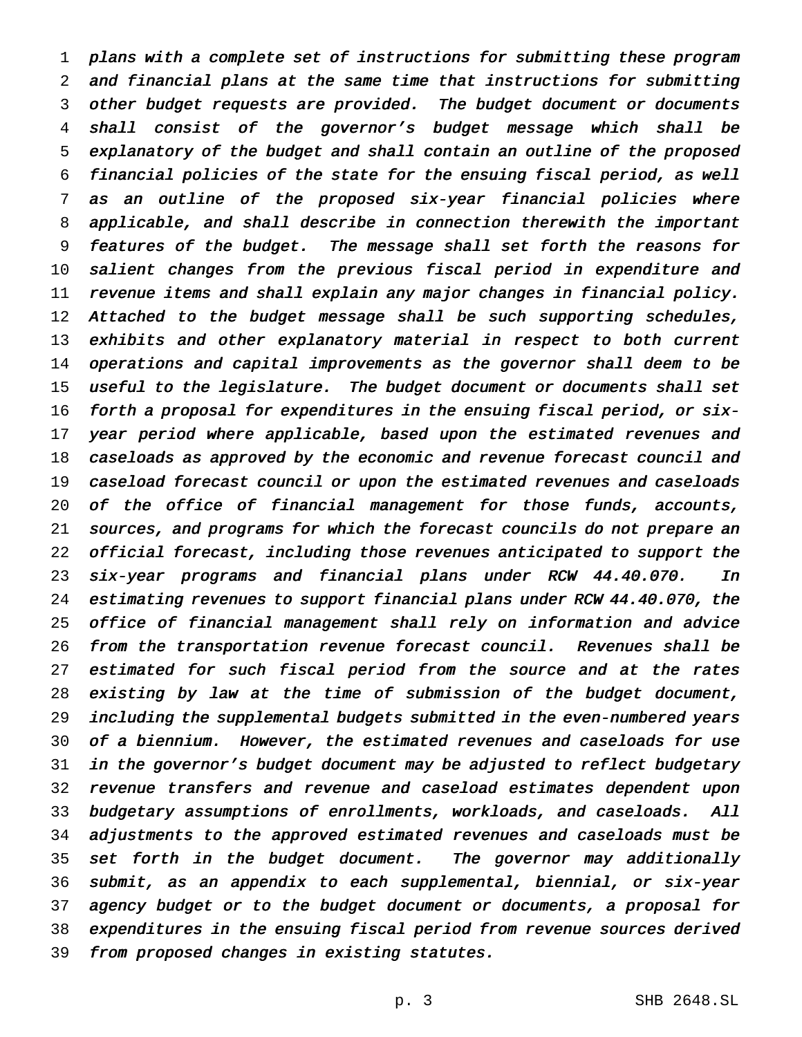plans with <sup>a</sup> complete set of instructions for submitting these program and financial plans at the same time that instructions for submitting other budget requests are provided. The budget document or documents shall consist of the governor's budget message which shall be explanatory of the budget and shall contain an outline of the proposed financial policies of the state for the ensuing fiscal period, as well as an outline of the proposed six-year financial policies where applicable, and shall describe in connection therewith the important features of the budget. The message shall set forth the reasons for salient changes from the previous fiscal period in expenditure and revenue items and shall explain any major changes in financial policy. 12 Attached to the budget message shall be such supporting schedules, exhibits and other explanatory material in respect to both current operations and capital improvements as the governor shall deem to be useful to the legislature. The budget document or documents shall set forth <sup>a</sup> proposal for expenditures in the ensuing fiscal period, or six-17 year period where applicable, based upon the estimated revenues and caseloads as approved by the economic and revenue forecast council and caseload forecast council or upon the estimated revenues and caseloads of the office of financial management for those funds, accounts, sources, and programs for which the forecast councils do not prepare an official forecast, including those revenues anticipated to support the six-year programs and financial plans under RCW 44.40.070. In estimating revenues to support financial plans under RCW 44.40.070, the office of financial management shall rely on information and advice from the transportation revenue forecast council. Revenues shall be 27 estimated for such fiscal period from the source and at the rates existing by law at the time of submission of the budget document, including the supplemental budgets submitted in the even-numbered years of <sup>a</sup> biennium. However, the estimated revenues and caseloads for use in the governor's budget document may be adjusted to reflect budgetary revenue transfers and revenue and caseload estimates dependent upon budgetary assumptions of enrollments, workloads, and caseloads. All adjustments to the approved estimated revenues and caseloads must be set forth in the budget document. The governor may additionally submit, as an appendix to each supplemental, biennial, or six-year agency budget or to the budget document or documents, <sup>a</sup> proposal for expenditures in the ensuing fiscal period from revenue sources derived from proposed changes in existing statutes.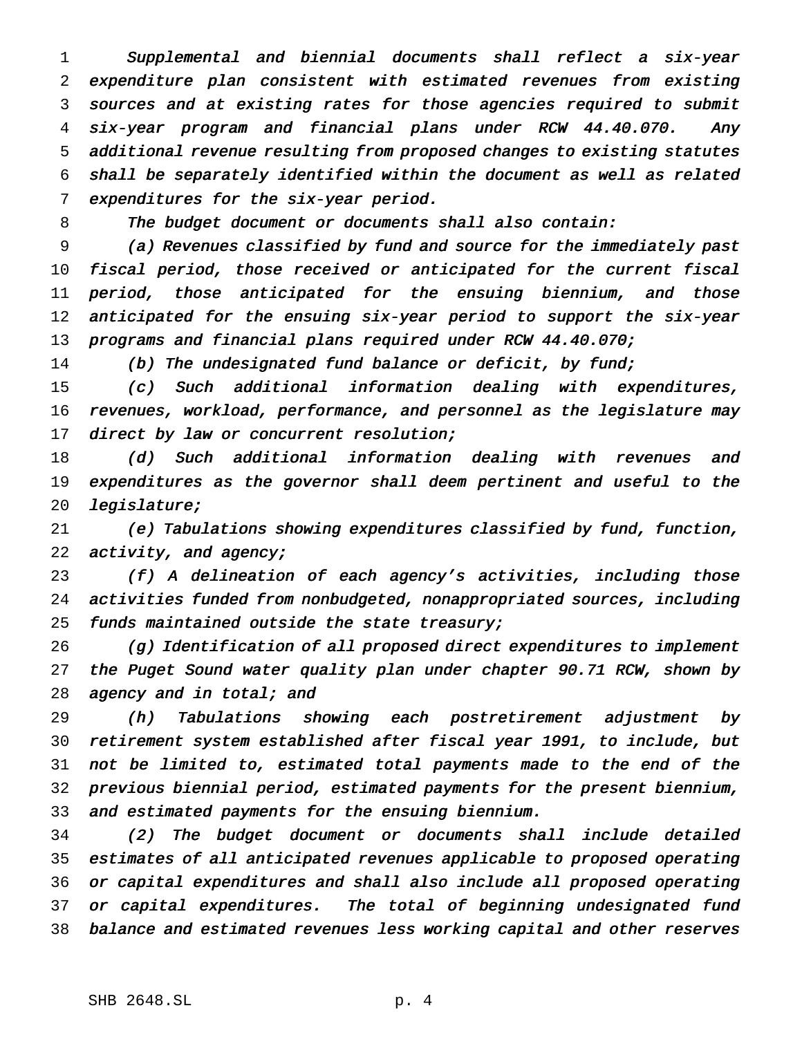Supplemental and biennial documents shall reflect <sup>a</sup> six-year expenditure plan consistent with estimated revenues from existing sources and at existing rates for those agencies required to submit six-year program and financial plans under RCW 44.40.070. Any additional revenue resulting from proposed changes to existing statutes shall be separately identified within the document as well as related expenditures for the six-year period.

8 The budget document or documents shall also contain:

 (a) Revenues classified by fund and source for the immediately past fiscal period, those received or anticipated for the current fiscal period, those anticipated for the ensuing biennium, and those 12 anticipated for the ensuing six-year period to support the six-year 13 programs and financial plans required under RCW 44.40.070;

14 (b) The undesignated fund balance or deficit, by fund;

 (c) Such additional information dealing with expenditures, revenues, workload, performance, and personnel as the legislature may 17 direct by law or concurrent resolution;

18 (d) Such additional information dealing with revenues and expenditures as the governor shall deem pertinent and useful to the legislature;

 (e) Tabulations showing expenditures classified by fund, function, 22 activity, and agency;

 (f) <sup>A</sup> delineation of each agency's activities, including those activities funded from nonbudgeted, nonappropriated sources, including 25 funds maintained outside the state treasury;

 (g) Identification of all proposed direct expenditures to implement the Puget Sound water quality plan under chapter 90.71 RCW, shown by 28 agency and in total; and

 (h) Tabulations showing each postretirement adjustment by retirement system established after fiscal year 1991, to include, but not be limited to, estimated total payments made to the end of the previous biennial period, estimated payments for the present biennium, and estimated payments for the ensuing biennium.

 (2) The budget document or documents shall include detailed estimates of all anticipated revenues applicable to proposed operating or capital expenditures and shall also include all proposed operating or capital expenditures. The total of beginning undesignated fund balance and estimated revenues less working capital and other reserves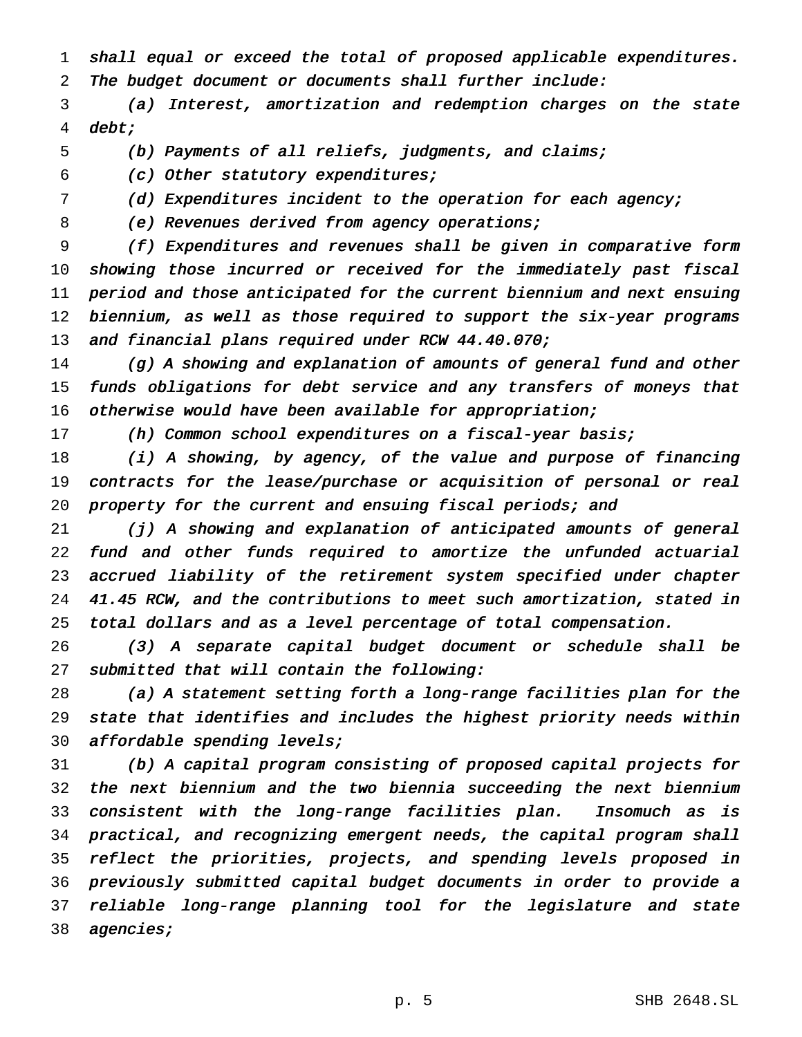shall equal or exceed the total of proposed applicable expenditures. The budget document or documents shall further include:

 (a) Interest, amortization and redemption charges on the state debt;

(b) Payments of all reliefs, judgments, and claims;

(c) Other statutory expenditures;

(d) Expenditures incident to the operation for each agency;

8 (e) Revenues derived from agency operations;

 (f) Expenditures and revenues shall be given in comparative form showing those incurred or received for the immediately past fiscal period and those anticipated for the current biennium and next ensuing biennium, as well as those required to support the six-year programs 13 and financial plans required under RCW 44.40.070;

14 (g) A showing and explanation of amounts of general fund and other funds obligations for debt service and any transfers of moneys that otherwise would have been available for appropriation;

17 (h) Common school expenditures on a fiscal-year basis;

 (i) <sup>A</sup> showing, by agency, of the value and purpose of financing contracts for the lease/purchase or acquisition of personal or real 20 property for the current and ensuing fiscal periods; and

 (j) <sup>A</sup> showing and explanation of anticipated amounts of general fund and other funds required to amortize the unfunded actuarial accrued liability of the retirement system specified under chapter 41.45 RCW, and the contributions to meet such amortization, stated in total dollars and as <sup>a</sup> level percentage of total compensation.

 (3) <sup>A</sup> separate capital budget document or schedule shall be submitted that will contain the following:

 (a) <sup>A</sup> statement setting forth <sup>a</sup> long-range facilities plan for the state that identifies and includes the highest priority needs within 30 affordable spending levels;

 (b) <sup>A</sup> capital program consisting of proposed capital projects for the next biennium and the two biennia succeeding the next biennium consistent with the long-range facilities plan. Insomuch as is practical, and recognizing emergent needs, the capital program shall reflect the priorities, projects, and spending levels proposed in previously submitted capital budget documents in order to provide <sup>a</sup> reliable long-range planning tool for the legislature and state 38 agencies;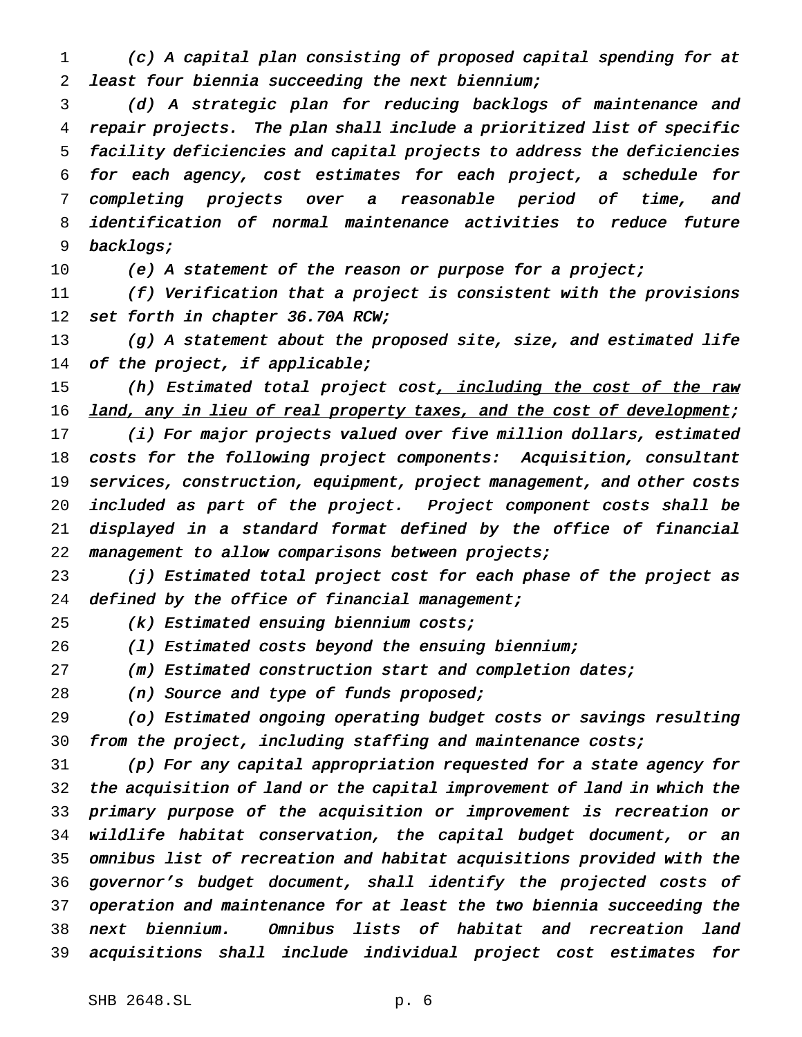(c) <sup>A</sup> capital plan consisting of proposed capital spending for at least four biennia succeeding the next biennium;

 (d) <sup>A</sup> strategic plan for reducing backlogs of maintenance and repair projects. The plan shall include <sup>a</sup> prioritized list of specific facility deficiencies and capital projects to address the deficiencies for each agency, cost estimates for each project, <sup>a</sup> schedule for completing projects over <sup>a</sup> reasonable period of time, and identification of normal maintenance activities to reduce future backlogs;

10 (e) A statement of the reason or purpose for a project;

 (f) Verification that <sup>a</sup> project is consistent with the provisions 12 set forth in chapter 36.70A RCW;

 (g) <sup>A</sup> statement about the proposed site, size, and estimated life 14 of the project, if applicable;

15 (h) Estimated total project cost, including the cost of the raw 16 land, any in lieu of real property taxes, and the cost of development;

 (i) For major projects valued over five million dollars, estimated costs for the following project components: Acquisition, consultant services, construction, equipment, project management, and other costs included as part of the project. Project component costs shall be displayed in <sup>a</sup> standard format defined by the office of financial management to allow comparisons between projects;

 (j) Estimated total project cost for each phase of the project as 24 defined by the office of financial management;

(k) Estimated ensuing biennium costs;

26 (1) Estimated costs beyond the ensuing biennium;

(m) Estimated construction start and completion dates;

28 (n) Source and type of funds proposed;

 (o) Estimated ongoing operating budget costs or savings resulting 30 from the project, including staffing and maintenance costs;

 (p) For any capital appropriation requested for <sup>a</sup> state agency for the acquisition of land or the capital improvement of land in which the primary purpose of the acquisition or improvement is recreation or wildlife habitat conservation, the capital budget document, or an omnibus list of recreation and habitat acquisitions provided with the governor's budget document, shall identify the projected costs of operation and maintenance for at least the two biennia succeeding the next biennium. Omnibus lists of habitat and recreation land acquisitions shall include individual project cost estimates for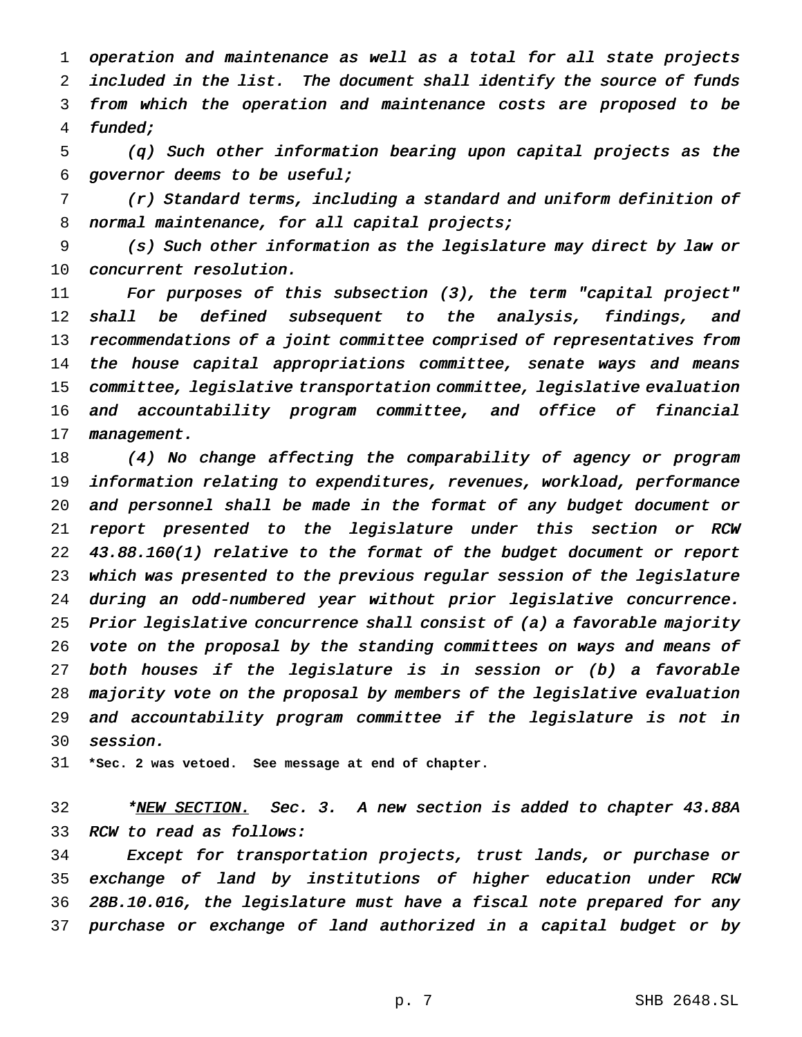operation and maintenance as well as <sup>a</sup> total for all state projects included in the list. The document shall identify the source of funds from which the operation and maintenance costs are proposed to be funded;

 (q) Such other information bearing upon capital projects as the governor deems to be useful;

 (r) Standard terms, including <sup>a</sup> standard and uniform definition of 8 normal maintenance, for all capital projects;

 (s) Such other information as the legislature may direct by law or concurrent resolution.

 For purposes of this subsection (3), the term "capital project" 12 shall be defined subsequent to the analysis, findings, and 13 recommendations of a joint committee comprised of representatives from 14 the house capital appropriations committee, senate ways and means committee, legislative transportation committee, legislative evaluation and accountability program committee, and office of financial 17 management.

 (4) No change affecting the comparability of agency or program information relating to expenditures, revenues, workload, performance and personnel shall be made in the format of any budget document or report presented to the legislature under this section or RCW 43.88.160(1) relative to the format of the budget document or report which was presented to the previous regular session of the legislature during an odd-numbered year without prior legislative concurrence. Prior legislative concurrence shall consist of (a) <sup>a</sup> favorable majority vote on the proposal by the standing committees on ways and means of both houses if the legislature is in session or (b) <sup>a</sup> favorable majority vote on the proposal by members of the legislative evaluation and accountability program committee if the legislature is not in session.

**\*Sec. 2 was vetoed. See message at end of chapter.**

32 \*NEW SECTION. Sec. 3. A new section is added to chapter 43.88A RCW to read as follows:

 Except for transportation projects, trust lands, or purchase or exchange of land by institutions of higher education under RCW 28B.10.016, the legislature must have <sup>a</sup> fiscal note prepared for any purchase or exchange of land authorized in <sup>a</sup> capital budget or by